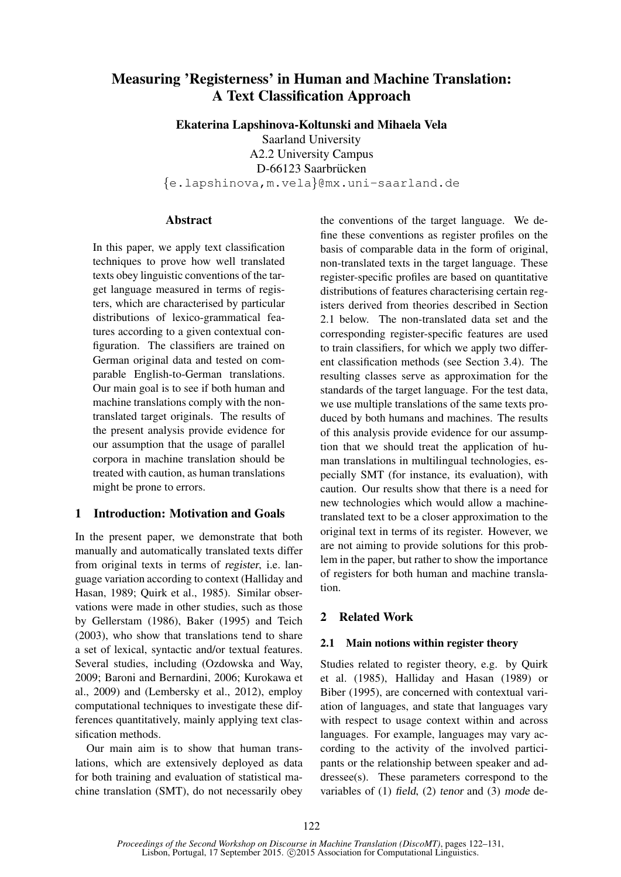# Measuring 'Registerness' in Human and Machine Translation: A Text Classification Approach

Ekaterina Lapshinova-Koltunski and Mihaela Vela

Saarland University A2.2 University Campus D-66123 Saarbrücken {e.lapshinova,m.vela}@mx.uni-saarland.de

# Abstract

In this paper, we apply text classification techniques to prove how well translated texts obey linguistic conventions of the target language measured in terms of registers, which are characterised by particular distributions of lexico-grammatical features according to a given contextual configuration. The classifiers are trained on German original data and tested on comparable English-to-German translations. Our main goal is to see if both human and machine translations comply with the nontranslated target originals. The results of the present analysis provide evidence for our assumption that the usage of parallel corpora in machine translation should be treated with caution, as human translations might be prone to errors.

# 1 Introduction: Motivation and Goals

In the present paper, we demonstrate that both manually and automatically translated texts differ from original texts in terms of register, i.e. language variation according to context (Halliday and Hasan, 1989; Quirk et al., 1985). Similar observations were made in other studies, such as those by Gellerstam (1986), Baker (1995) and Teich (2003), who show that translations tend to share a set of lexical, syntactic and/or textual features. Several studies, including (Ozdowska and Way, 2009; Baroni and Bernardini, 2006; Kurokawa et al., 2009) and (Lembersky et al., 2012), employ computational techniques to investigate these differences quantitatively, mainly applying text classification methods.

Our main aim is to show that human translations, which are extensively deployed as data for both training and evaluation of statistical machine translation (SMT), do not necessarily obey the conventions of the target language. We define these conventions as register profiles on the basis of comparable data in the form of original, non-translated texts in the target language. These register-specific profiles are based on quantitative distributions of features characterising certain registers derived from theories described in Section 2.1 below. The non-translated data set and the corresponding register-specific features are used to train classifiers, for which we apply two different classification methods (see Section 3.4). The resulting classes serve as approximation for the standards of the target language. For the test data, we use multiple translations of the same texts produced by both humans and machines. The results of this analysis provide evidence for our assumption that we should treat the application of human translations in multilingual technologies, especially SMT (for instance, its evaluation), with caution. Our results show that there is a need for new technologies which would allow a machinetranslated text to be a closer approximation to the original text in terms of its register. However, we are not aiming to provide solutions for this problem in the paper, but rather to show the importance of registers for both human and machine translation.

# 2 Related Work

# 2.1 Main notions within register theory

Studies related to register theory, e.g. by Quirk et al. (1985), Halliday and Hasan (1989) or Biber (1995), are concerned with contextual variation of languages, and state that languages vary with respect to usage context within and across languages. For example, languages may vary according to the activity of the involved participants or the relationship between speaker and addressee(s). These parameters correspond to the variables of (1) field, (2) tenor and (3) mode de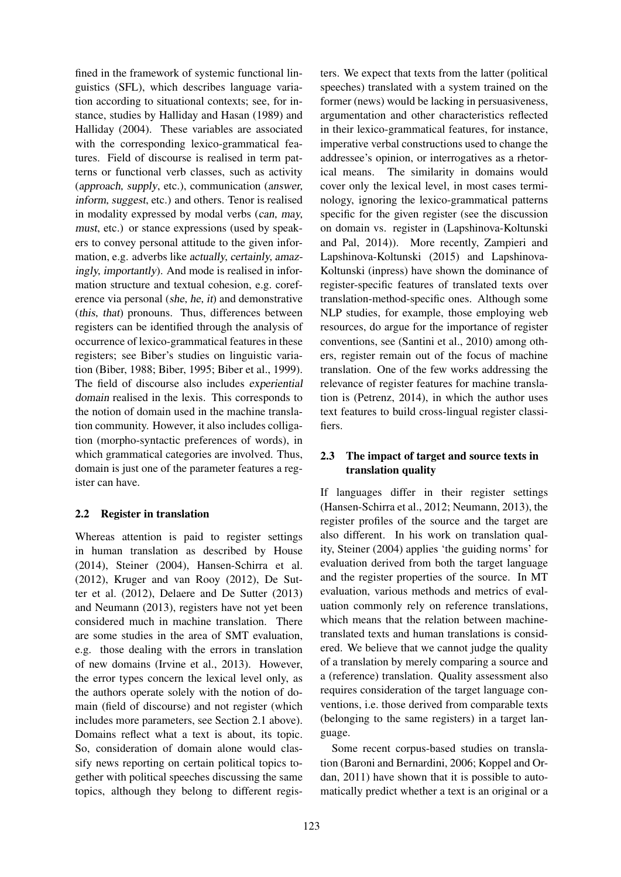fined in the framework of systemic functional linguistics (SFL), which describes language variation according to situational contexts; see, for instance, studies by Halliday and Hasan (1989) and Halliday (2004). These variables are associated with the corresponding lexico-grammatical features. Field of discourse is realised in term patterns or functional verb classes, such as activity (approach, supply, etc.), communication (answer, inform, suggest, etc.) and others. Tenor is realised in modality expressed by modal verbs (can, may, must, etc.) or stance expressions (used by speakers to convey personal attitude to the given information, e.g. adverbs like actually, certainly, amazingly, importantly). And mode is realised in information structure and textual cohesion, e.g. coreference via personal (she, he, it) and demonstrative (this, that) pronouns. Thus, differences between registers can be identified through the analysis of occurrence of lexico-grammatical features in these registers; see Biber's studies on linguistic variation (Biber, 1988; Biber, 1995; Biber et al., 1999). The field of discourse also includes experiential domain realised in the lexis. This corresponds to the notion of domain used in the machine translation community. However, it also includes colligation (morpho-syntactic preferences of words), in which grammatical categories are involved. Thus, domain is just one of the parameter features a register can have.

## 2.2 Register in translation

Whereas attention is paid to register settings in human translation as described by House (2014), Steiner (2004), Hansen-Schirra et al. (2012), Kruger and van Rooy (2012), De Sutter et al. (2012), Delaere and De Sutter (2013) and Neumann (2013), registers have not yet been considered much in machine translation. There are some studies in the area of SMT evaluation, e.g. those dealing with the errors in translation of new domains (Irvine et al., 2013). However, the error types concern the lexical level only, as the authors operate solely with the notion of domain (field of discourse) and not register (which includes more parameters, see Section 2.1 above). Domains reflect what a text is about, its topic. So, consideration of domain alone would classify news reporting on certain political topics together with political speeches discussing the same topics, although they belong to different registers. We expect that texts from the latter (political speeches) translated with a system trained on the former (news) would be lacking in persuasiveness, argumentation and other characteristics reflected in their lexico-grammatical features, for instance, imperative verbal constructions used to change the addressee's opinion, or interrogatives as a rhetorical means. The similarity in domains would cover only the lexical level, in most cases terminology, ignoring the lexico-grammatical patterns specific for the given register (see the discussion on domain vs. register in (Lapshinova-Koltunski and Pal, 2014)). More recently, Zampieri and Lapshinova-Koltunski (2015) and Lapshinova-Koltunski (inpress) have shown the dominance of register-specific features of translated texts over translation-method-specific ones. Although some NLP studies, for example, those employing web resources, do argue for the importance of register conventions, see (Santini et al., 2010) among others, register remain out of the focus of machine translation. One of the few works addressing the relevance of register features for machine translation is (Petrenz, 2014), in which the author uses text features to build cross-lingual register classifiers.

# 2.3 The impact of target and source texts in translation quality

If languages differ in their register settings (Hansen-Schirra et al., 2012; Neumann, 2013), the register profiles of the source and the target are also different. In his work on translation quality, Steiner (2004) applies 'the guiding norms' for evaluation derived from both the target language and the register properties of the source. In MT evaluation, various methods and metrics of evaluation commonly rely on reference translations, which means that the relation between machinetranslated texts and human translations is considered. We believe that we cannot judge the quality of a translation by merely comparing a source and a (reference) translation. Quality assessment also requires consideration of the target language conventions, i.e. those derived from comparable texts (belonging to the same registers) in a target language.

Some recent corpus-based studies on translation (Baroni and Bernardini, 2006; Koppel and Ordan, 2011) have shown that it is possible to automatically predict whether a text is an original or a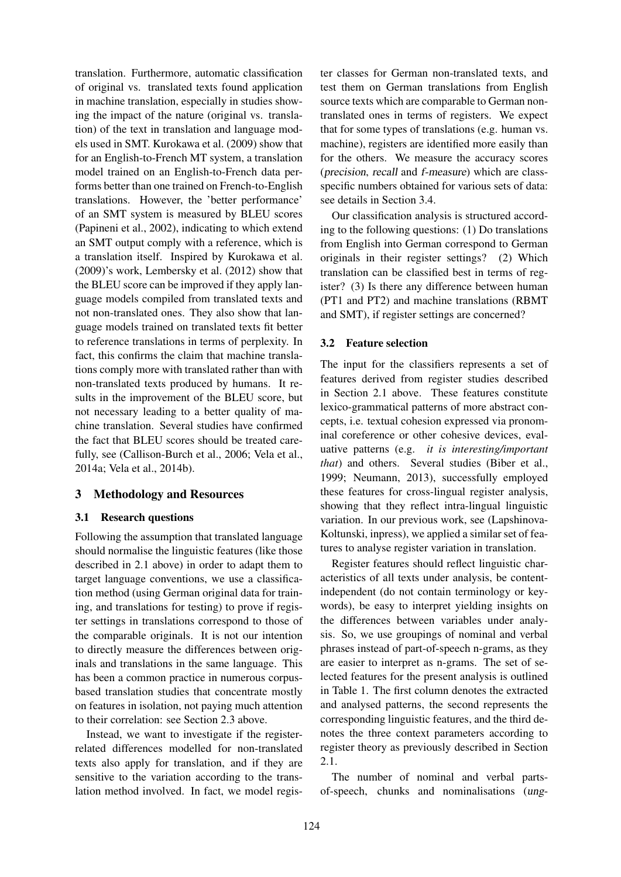translation. Furthermore, automatic classification of original vs. translated texts found application in machine translation, especially in studies showing the impact of the nature (original vs. translation) of the text in translation and language models used in SMT. Kurokawa et al. (2009) show that for an English-to-French MT system, a translation model trained on an English-to-French data performs better than one trained on French-to-English translations. However, the 'better performance' of an SMT system is measured by BLEU scores (Papineni et al., 2002), indicating to which extend an SMT output comply with a reference, which is a translation itself. Inspired by Kurokawa et al. (2009)'s work, Lembersky et al. (2012) show that the BLEU score can be improved if they apply language models compiled from translated texts and not non-translated ones. They also show that language models trained on translated texts fit better to reference translations in terms of perplexity. In fact, this confirms the claim that machine translations comply more with translated rather than with non-translated texts produced by humans. It results in the improvement of the BLEU score, but not necessary leading to a better quality of machine translation. Several studies have confirmed the fact that BLEU scores should be treated carefully, see (Callison-Burch et al., 2006; Vela et al., 2014a; Vela et al., 2014b).

# 3 Methodology and Resources

## 3.1 Research questions

Following the assumption that translated language should normalise the linguistic features (like those described in 2.1 above) in order to adapt them to target language conventions, we use a classification method (using German original data for training, and translations for testing) to prove if register settings in translations correspond to those of the comparable originals. It is not our intention to directly measure the differences between originals and translations in the same language. This has been a common practice in numerous corpusbased translation studies that concentrate mostly on features in isolation, not paying much attention to their correlation: see Section 2.3 above.

Instead, we want to investigate if the registerrelated differences modelled for non-translated texts also apply for translation, and if they are sensitive to the variation according to the translation method involved. In fact, we model register classes for German non-translated texts, and test them on German translations from English source texts which are comparable to German nontranslated ones in terms of registers. We expect that for some types of translations (e.g. human vs. machine), registers are identified more easily than for the others. We measure the accuracy scores (precision, recall and f-measure) which are classspecific numbers obtained for various sets of data: see details in Section 3.4.

Our classification analysis is structured according to the following questions: (1) Do translations from English into German correspond to German originals in their register settings? (2) Which translation can be classified best in terms of register? (3) Is there any difference between human (PT1 and PT2) and machine translations (RBMT and SMT), if register settings are concerned?

## 3.2 Feature selection

The input for the classifiers represents a set of features derived from register studies described in Section 2.1 above. These features constitute lexico-grammatical patterns of more abstract concepts, i.e. textual cohesion expressed via pronominal coreference or other cohesive devices, evaluative patterns (e.g. *it is interesting/important that*) and others. Several studies (Biber et al., 1999; Neumann, 2013), successfully employed these features for cross-lingual register analysis, showing that they reflect intra-lingual linguistic variation. In our previous work, see (Lapshinova-Koltunski, inpress), we applied a similar set of features to analyse register variation in translation.

Register features should reflect linguistic characteristics of all texts under analysis, be contentindependent (do not contain terminology or keywords), be easy to interpret yielding insights on the differences between variables under analysis. So, we use groupings of nominal and verbal phrases instead of part-of-speech n-grams, as they are easier to interpret as n-grams. The set of selected features for the present analysis is outlined in Table 1. The first column denotes the extracted and analysed patterns, the second represents the corresponding linguistic features, and the third denotes the three context parameters according to register theory as previously described in Section 2.1.

The number of nominal and verbal partsof-speech, chunks and nominalisations (ung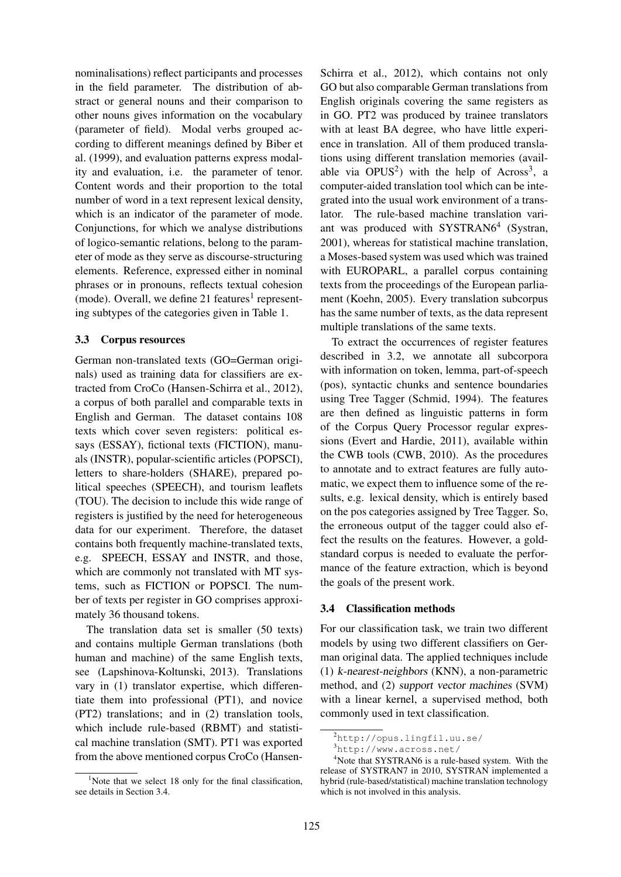nominalisations) reflect participants and processes in the field parameter. The distribution of abstract or general nouns and their comparison to other nouns gives information on the vocabulary (parameter of field). Modal verbs grouped according to different meanings defined by Biber et al. (1999), and evaluation patterns express modality and evaluation, i.e. the parameter of tenor. Content words and their proportion to the total number of word in a text represent lexical density, which is an indicator of the parameter of mode. Conjunctions, for which we analyse distributions of logico-semantic relations, belong to the parameter of mode as they serve as discourse-structuring elements. Reference, expressed either in nominal phrases or in pronouns, reflects textual cohesion (mode). Overall, we define  $21$  features<sup>1</sup> representing subtypes of the categories given in Table 1.

## 3.3 Corpus resources

German non-translated texts (GO=German originals) used as training data for classifiers are extracted from CroCo (Hansen-Schirra et al., 2012), a corpus of both parallel and comparable texts in English and German. The dataset contains 108 texts which cover seven registers: political essays (ESSAY), fictional texts (FICTION), manuals (INSTR), popular-scientific articles (POPSCI), letters to share-holders (SHARE), prepared political speeches (SPEECH), and tourism leaflets (TOU). The decision to include this wide range of registers is justified by the need for heterogeneous data for our experiment. Therefore, the dataset contains both frequently machine-translated texts, e.g. SPEECH, ESSAY and INSTR, and those, which are commonly not translated with MT systems, such as FICTION or POPSCI. The number of texts per register in GO comprises approximately 36 thousand tokens.

The translation data set is smaller (50 texts) and contains multiple German translations (both human and machine) of the same English texts, see (Lapshinova-Koltunski, 2013). Translations vary in (1) translator expertise, which differentiate them into professional (PT1), and novice (PT2) translations; and in (2) translation tools, which include rule-based (RBMT) and statistical machine translation (SMT). PT1 was exported from the above mentioned corpus CroCo (Hansen-

<sup>1</sup>Note that we select 18 only for the final classification, see details in Section 3.4.

Schirra et al., 2012), which contains not only GO but also comparable German translations from English originals covering the same registers as in GO. PT2 was produced by trainee translators with at least BA degree, who have little experience in translation. All of them produced translations using different translation memories (available via  $OPUS^2$ ) with the help of Across<sup>3</sup>, a computer-aided translation tool which can be integrated into the usual work environment of a translator. The rule-based machine translation variant was produced with SYSTRAN6<sup>4</sup> (Systran, 2001), whereas for statistical machine translation, a Moses-based system was used which was trained with EUROPARL, a parallel corpus containing texts from the proceedings of the European parliament (Koehn, 2005). Every translation subcorpus has the same number of texts, as the data represent multiple translations of the same texts.

To extract the occurrences of register features described in 3.2, we annotate all subcorpora with information on token, lemma, part-of-speech (pos), syntactic chunks and sentence boundaries using Tree Tagger (Schmid, 1994). The features are then defined as linguistic patterns in form of the Corpus Query Processor regular expressions (Evert and Hardie, 2011), available within the CWB tools (CWB, 2010). As the procedures to annotate and to extract features are fully automatic, we expect them to influence some of the results, e.g. lexical density, which is entirely based on the pos categories assigned by Tree Tagger. So, the erroneous output of the tagger could also effect the results on the features. However, a goldstandard corpus is needed to evaluate the performance of the feature extraction, which is beyond the goals of the present work.

## 3.4 Classification methods

For our classification task, we train two different models by using two different classifiers on German original data. The applied techniques include (1) k-nearest-neighbors (KNN), a non-parametric method, and (2) support vector machines (SVM) with a linear kernel, a supervised method, both commonly used in text classification.

<sup>2</sup>http://opus.lingfil.uu.se/

 $3$ http://www.across.net/

<sup>&</sup>lt;sup>4</sup>Note that SYSTRAN6 is a rule-based system. With the release of SYSTRAN7 in 2010, SYSTRAN implemented a hybrid (rule-based/statistical) machine translation technology which is not involved in this analysis.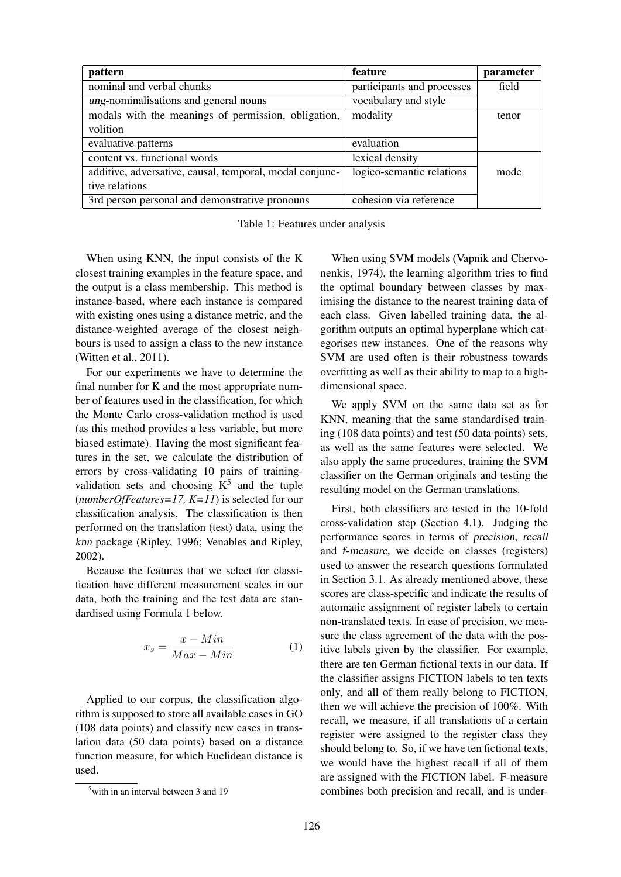| pattern                                                 | feature                    | parameter |
|---------------------------------------------------------|----------------------------|-----------|
| nominal and verbal chunks                               | participants and processes | field     |
| ung-nominalisations and general nouns                   | vocabulary and style       |           |
| modals with the meanings of permission, obligation,     | modality                   | tenor     |
| volition                                                |                            |           |
| evaluative patterns                                     | evaluation                 |           |
| content vs. functional words                            | lexical density            |           |
| additive, adversative, causal, temporal, modal conjunc- | logico-semantic relations  | mode      |
| tive relations                                          |                            |           |
| 3rd person personal and demonstrative pronouns          | cohesion via reference     |           |

Table 1: Features under analysis

When using KNN, the input consists of the K closest training examples in the feature space, and the output is a class membership. This method is instance-based, where each instance is compared with existing ones using a distance metric, and the distance-weighted average of the closest neighbours is used to assign a class to the new instance (Witten et al., 2011).

For our experiments we have to determine the final number for K and the most appropriate number of features used in the classification, for which the Monte Carlo cross-validation method is used (as this method provides a less variable, but more biased estimate). Having the most significant features in the set, we calculate the distribution of errors by cross-validating 10 pairs of trainingvalidation sets and choosing  $K^5$  and the tuple (*numberOfFeatures=17, K=11*) is selected for our classification analysis. The classification is then performed on the translation (test) data, using the knn package (Ripley, 1996; Venables and Ripley, 2002).

Because the features that we select for classification have different measurement scales in our data, both the training and the test data are standardised using Formula 1 below.

$$
x_s = \frac{x - Min}{Max - Min} \tag{1}
$$

Applied to our corpus, the classification algorithm is supposed to store all available cases in GO (108 data points) and classify new cases in translation data (50 data points) based on a distance function measure, for which Euclidean distance is used.

When using SVM models (Vapnik and Chervonenkis, 1974), the learning algorithm tries to find the optimal boundary between classes by maximising the distance to the nearest training data of each class. Given labelled training data, the algorithm outputs an optimal hyperplane which categorises new instances. One of the reasons why SVM are used often is their robustness towards overfitting as well as their ability to map to a highdimensional space.

We apply SVM on the same data set as for KNN, meaning that the same standardised training (108 data points) and test (50 data points) sets, as well as the same features were selected. We also apply the same procedures, training the SVM classifier on the German originals and testing the resulting model on the German translations.

First, both classifiers are tested in the 10-fold cross-validation step (Section 4.1). Judging the performance scores in terms of precision, recall and f-measure, we decide on classes (registers) used to answer the research questions formulated in Section 3.1. As already mentioned above, these scores are class-specific and indicate the results of automatic assignment of register labels to certain non-translated texts. In case of precision, we measure the class agreement of the data with the positive labels given by the classifier. For example, there are ten German fictional texts in our data. If the classifier assigns FICTION labels to ten texts only, and all of them really belong to FICTION, then we will achieve the precision of 100%. With recall, we measure, if all translations of a certain register were assigned to the register class they should belong to. So, if we have ten fictional texts, we would have the highest recall if all of them are assigned with the FICTION label. F-measure combines both precision and recall, and is under-

 $5$ with in an interval between 3 and 19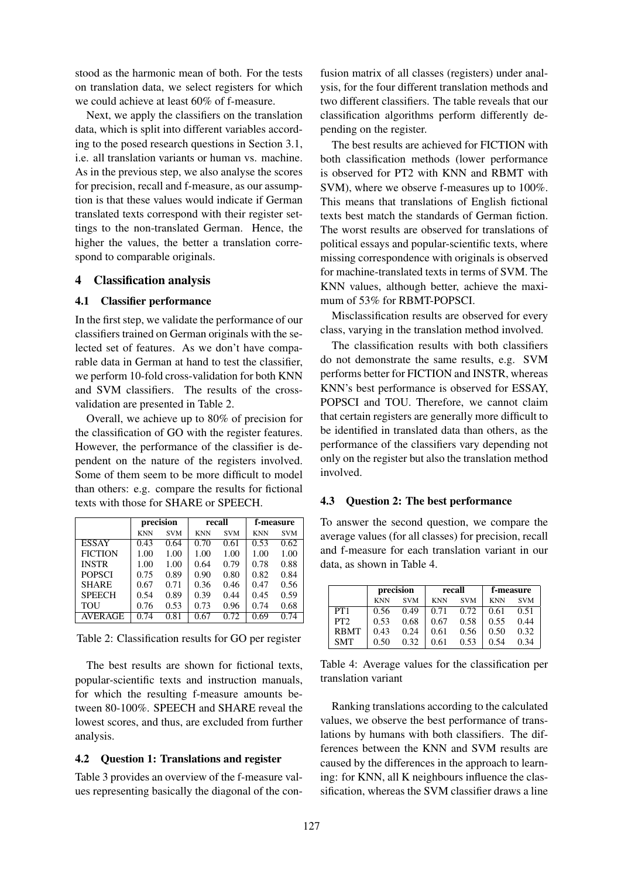stood as the harmonic mean of both. For the tests on translation data, we select registers for which we could achieve at least 60% of f-measure.

Next, we apply the classifiers on the translation data, which is split into different variables according to the posed research questions in Section 3.1, i.e. all translation variants or human vs. machine. As in the previous step, we also analyse the scores for precision, recall and f-measure, as our assumption is that these values would indicate if German translated texts correspond with their register settings to the non-translated German. Hence, the higher the values, the better a translation correspond to comparable originals.

## 4 Classification analysis

#### 4.1 Classifier performance

In the first step, we validate the performance of our classifiers trained on German originals with the selected set of features. As we don't have comparable data in German at hand to test the classifier, we perform 10-fold cross-validation for both KNN and SVM classifiers. The results of the crossvalidation are presented in Table 2.

Overall, we achieve up to 80% of precision for the classification of GO with the register features. However, the performance of the classifier is dependent on the nature of the registers involved. Some of them seem to be more difficult to model than others: e.g. compare the results for fictional texts with those for SHARE or SPEECH.

|                | precision  |            | recall     |            | f-measure  |            |  |
|----------------|------------|------------|------------|------------|------------|------------|--|
|                | <b>KNN</b> | <b>SVM</b> | <b>KNN</b> | <b>SVM</b> | <b>KNN</b> | <b>SVM</b> |  |
| <b>ESSAY</b>   | 0.43       | 0.64       | 0.70       | 0.61       | 0.53       | 0.62       |  |
| <b>FICTION</b> | 1.00       | 1.00       | 1.00       | 1.00       | 1.00       | 1.00       |  |
| <b>INSTR</b>   | 1.00       | 1.00       | 0.64       | 0.79       | 0.78       | 0.88       |  |
| <b>POPSCI</b>  | 0.75       | 0.89       | 0.90       | 0.80       | 0.82       | 0.84       |  |
| <b>SHARE</b>   | 0.67       | 0.71       | 0.36       | 0.46       | 0.47       | 0.56       |  |
| <b>SPEECH</b>  | 0.54       | 0.89       | 0.39       | 0.44       | 0.45       | 0.59       |  |
| TOU            | 0.76       | 0.53       | 0.73       | 0.96       | 0.74       | 0.68       |  |
| <b>AVERAGE</b> | 0.74       | 0.81       | 0.67       | 0.72       | 0.69       | 0.74       |  |

Table 2: Classification results for GO per register

The best results are shown for fictional texts, popular-scientific texts and instruction manuals, for which the resulting f-measure amounts between 80-100%. SPEECH and SHARE reveal the lowest scores, and thus, are excluded from further analysis.

## 4.2 Question 1: Translations and register

Table 3 provides an overview of the f-measure values representing basically the diagonal of the con-

fusion matrix of all classes (registers) under analysis, for the four different translation methods and two different classifiers. The table reveals that our classification algorithms perform differently depending on the register.

The best results are achieved for FICTION with both classification methods (lower performance is observed for PT2 with KNN and RBMT with SVM), where we observe f-measures up to 100%. This means that translations of English fictional texts best match the standards of German fiction. The worst results are observed for translations of political essays and popular-scientific texts, where missing correspondence with originals is observed for machine-translated texts in terms of SVM. The KNN values, although better, achieve the maximum of 53% for RBMT-POPSCI.

Misclassification results are observed for every class, varying in the translation method involved.

The classification results with both classifiers do not demonstrate the same results, e.g. SVM performs better for FICTION and INSTR, whereas KNN's best performance is observed for ESSAY, POPSCI and TOU. Therefore, we cannot claim that certain registers are generally more difficult to be identified in translated data than others, as the performance of the classifiers vary depending not only on the register but also the translation method involved.

### 4.3 Question 2: The best performance

To answer the second question, we compare the average values (for all classes) for precision, recall and f-measure for each translation variant in our data, as shown in Table 4.

|                 |            | precision  |                          | recall | f-measure  |            |  |
|-----------------|------------|------------|--------------------------|--------|------------|------------|--|
|                 | <b>KNN</b> | <b>SVM</b> | <b>KNN</b><br><b>SVM</b> |        | <b>KNN</b> | <b>SVM</b> |  |
| PT <sub>1</sub> | 0.56       | 0.49       | 0.71                     | 0.72   | 0.61       | 0.51       |  |
| PT2             | 0.53       | 0.68       | 0.67                     | 0.58   | 0.55       | 0.44       |  |
| <b>RBMT</b>     | 0.43       | 0.24       | 0.61                     | 0.56   | 0.50       | 0.32       |  |
| <b>SMT</b>      | 0.50       | 0.32       | 0.61                     | 0.53   | 0.54       | 0.34       |  |

Table 4: Average values for the classification per translation variant

Ranking translations according to the calculated values, we observe the best performance of translations by humans with both classifiers. The differences between the KNN and SVM results are caused by the differences in the approach to learning: for KNN, all K neighbours influence the classification, whereas the SVM classifier draws a line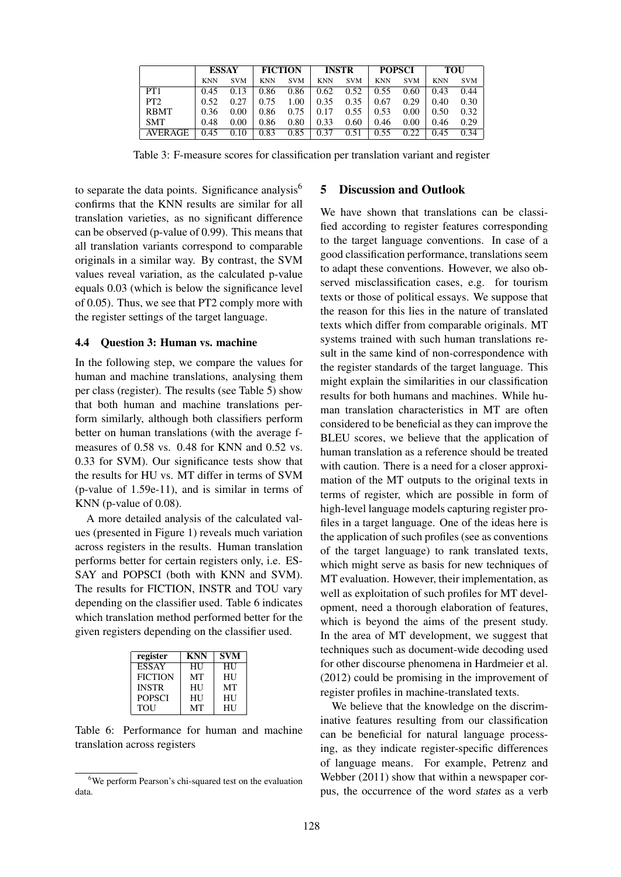|                 | <b>ESSAY</b> |            | <b>FICTION</b> |                                                                               | <b>INSTR</b>    |                                                                        | <b>POPSCI</b>                       |            | TOU        |            |
|-----------------|--------------|------------|----------------|-------------------------------------------------------------------------------|-----------------|------------------------------------------------------------------------|-------------------------------------|------------|------------|------------|
|                 | <b>KNN</b>   | <b>SVM</b> | <b>KNN</b>     | <b>SVM</b>                                                                    |                 | KNN SVM                                                                | <b>KNN</b>                          | <b>SVM</b> | <b>KNN</b> | <b>SVM</b> |
| PT <sub>1</sub> | 0.45         | 0.13       |                |                                                                               |                 | $0.86$ $0.86$   $0.62$ $0.52$   $0.55$ $0.60$                          |                                     |            | 0.43       | 0.44       |
| PT2             | 0.52         |            |                |                                                                               |                 | $0.27 \pm 0.75$ $1.00 \pm 0.35$ $0.35 \pm 0.67$ $0.29 \pm 0.40$        |                                     |            |            | 0.30       |
| <b>RBMT</b>     |              |            |                |                                                                               |                 | $0.36$ $0.00$   $0.86$ $0.75$   $0.17$ $0.55$   $0.53$ $0.00$   $0.50$ |                                     |            |            | 0.32       |
| <b>SMT</b>      | 0.48         | $0.00$     |                | $\begin{array}{ c c c c c c } \hline 0.86 & 0.80 & 0.33 \ \hline \end{array}$ |                 |                                                                        | $0.60 \pm 0.46 \pm 0.00 \pm 0.00$   |            | 0.46       | 0.29       |
| AVERAGE         | 0.45         | 0.10       | 0.83           |                                                                               | $0.85 \pm 0.37$ |                                                                        | $0.51 \pm 0.55 \quad 0.22 \pm 0.22$ |            | 0.45       | 0.34       |

Table 3: F-measure scores for classification per translation variant and register

to separate the data points. Significance analysis<sup>6</sup> confirms that the KNN results are similar for all translation varieties, as no significant difference can be observed (p-value of 0.99). This means that all translation variants correspond to comparable originals in a similar way. By contrast, the SVM values reveal variation, as the calculated p-value equals 0.03 (which is below the significance level of 0.05). Thus, we see that PT2 comply more with the register settings of the target language.

#### 4.4 Question 3: Human vs. machine

In the following step, we compare the values for human and machine translations, analysing them per class (register). The results (see Table 5) show that both human and machine translations perform similarly, although both classifiers perform better on human translations (with the average fmeasures of 0.58 vs. 0.48 for KNN and 0.52 vs. 0.33 for SVM). Our significance tests show that the results for HU vs. MT differ in terms of SVM (p-value of 1.59e-11), and is similar in terms of KNN (p-value of 0.08).

A more detailed analysis of the calculated values (presented in Figure 1) reveals much variation across registers in the results. Human translation performs better for certain registers only, i.e. ES-SAY and POPSCI (both with KNN and SVM). The results for FICTION, INSTR and TOU vary depending on the classifier used. Table 6 indicates which translation method performed better for the given registers depending on the classifier used.

| register       | KNN | <b>SVM</b> |
|----------------|-----|------------|
| <b>ESSAY</b>   | HU  | HU         |
| <b>FICTION</b> | MТ  | HU         |
| <b>INSTR</b>   | HU  | MТ         |
| <b>POPSCI</b>  | НU  | <b>HU</b>  |
| TOU            | MТ  | <b>HU</b>  |

Table 6: Performance for human and machine translation across registers

## 5 Discussion and Outlook

We have shown that translations can be classified according to register features corresponding to the target language conventions. In case of a good classification performance, translations seem to adapt these conventions. However, we also observed misclassification cases, e.g. for tourism texts or those of political essays. We suppose that the reason for this lies in the nature of translated texts which differ from comparable originals. MT systems trained with such human translations result in the same kind of non-correspondence with the register standards of the target language. This might explain the similarities in our classification results for both humans and machines. While human translation characteristics in MT are often considered to be beneficial as they can improve the BLEU scores, we believe that the application of human translation as a reference should be treated with caution. There is a need for a closer approximation of the MT outputs to the original texts in terms of register, which are possible in form of high-level language models capturing register profiles in a target language. One of the ideas here is the application of such profiles (see as conventions of the target language) to rank translated texts, which might serve as basis for new techniques of MT evaluation. However, their implementation, as well as exploitation of such profiles for MT development, need a thorough elaboration of features, which is beyond the aims of the present study. In the area of MT development, we suggest that techniques such as document-wide decoding used for other discourse phenomena in Hardmeier et al. (2012) could be promising in the improvement of register profiles in machine-translated texts.

We believe that the knowledge on the discriminative features resulting from our classification can be beneficial for natural language processing, as they indicate register-specific differences of language means. For example, Petrenz and Webber (2011) show that within a newspaper corpus, the occurrence of the word states as a verb

<sup>&</sup>lt;sup>6</sup>We perform Pearson's chi-squared test on the evaluation data.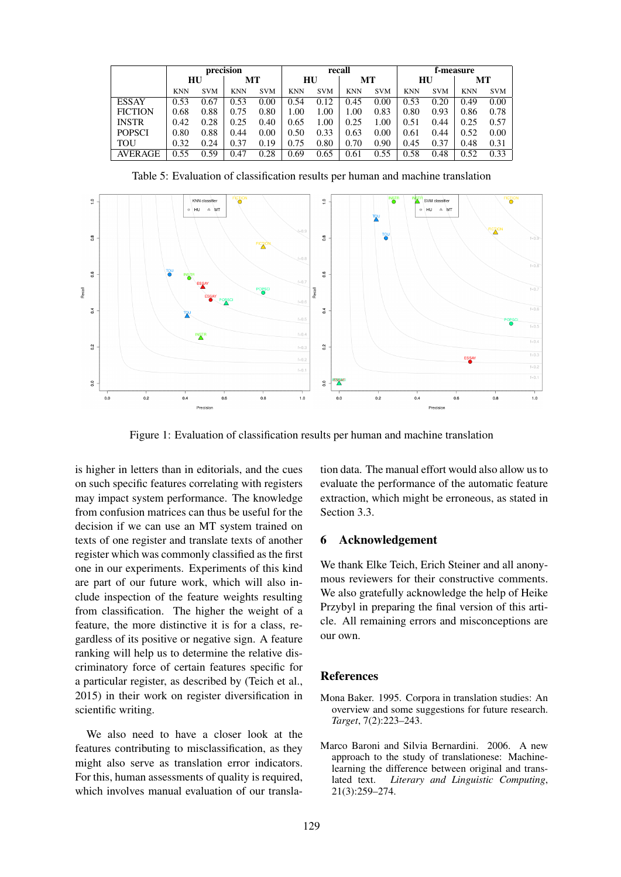|                | precision  |            |            |            | recall     |            |            |            | f-measure  |            |            |            |
|----------------|------------|------------|------------|------------|------------|------------|------------|------------|------------|------------|------------|------------|
|                | HU         |            | МT         |            |            | HU         | MТ         |            | HU         |            | MТ         |            |
|                | <b>KNN</b> | <b>SVM</b> | <b>KNN</b> | <b>SVM</b> | <b>KNN</b> | <b>SVM</b> | <b>KNN</b> | <b>SVM</b> | <b>KNN</b> | <b>SVM</b> | <b>KNN</b> | <b>SVM</b> |
| <b>ESSAY</b>   | 0.53       | 0.67       | 0.53       | 0.00       | 0.54       | 0.12       | 0.45       | 0.00       | 0.53       | 0.20       | 0.49       | 0.00       |
| <b>FICTION</b> | 0.68       | 0.88       | 0.75       | 0.80       | 1.00       | 1.00       | 1.00       | 0.83       | 0.80       | 0.93       | 0.86       | 0.78       |
| <b>INSTR</b>   | 0.42       | 0.28       | 0.25       | 0.40       | 0.65       | 1.00       | 0.25       | 1.00       | 0.51       | 0.44       | 0.25       | 0.57       |
| <b>POPSCI</b>  | 0.80       | 0.88       | 0.44       | 0.00       | 0.50       | 0.33       | 0.63       | 0.00       | 0.61       | 0.44       | 0.52       | 0.00       |
| TOU            | 0.32       | 0.24       | 0.37       | 0.19       | 0.75       | 0.80       | 0.70       | 0.90       | 0.45       | 0.37       | 0.48       | 0.31       |
| <b>AVERAGE</b> | 0.55       | 0.59       | 0.47       | 0.28       | 0.69       | 0.65       | 0.61       | 0.55       | 0.58       | 0.48       | 0.52       | 0.33       |

Table 5: Evaluation of classification results per human and machine translation



Figure 1: Evaluation of classification results per human and machine translation

is higher in letters than in editorials, and the cues on such specific features correlating with registers may impact system performance. The knowledge from confusion matrices can thus be useful for the decision if we can use an MT system trained on texts of one register and translate texts of another register which was commonly classified as the first one in our experiments. Experiments of this kind are part of our future work, which will also include inspection of the feature weights resulting from classification. The higher the weight of a feature, the more distinctive it is for a class, regardless of its positive or negative sign. A feature ranking will help us to determine the relative discriminatory force of certain features specific for a particular register, as described by (Teich et al., 2015) in their work on register diversification in scientific writing.

We also need to have a closer look at the features contributing to misclassification, as they might also serve as translation error indicators. For this, human assessments of quality is required, which involves manual evaluation of our translation data. The manual effort would also allow us to evaluate the performance of the automatic feature extraction, which might be erroneous, as stated in Section 3.3.

## 6 Acknowledgement

We thank Elke Teich, Erich Steiner and all anonymous reviewers for their constructive comments. We also gratefully acknowledge the help of Heike Przybyl in preparing the final version of this article. All remaining errors and misconceptions are our own.

#### **References**

- Mona Baker. 1995. Corpora in translation studies: An overview and some suggestions for future research. *Target*, 7(2):223–243.
- Marco Baroni and Silvia Bernardini. 2006. A new approach to the study of translationese: Machinelearning the difference between original and translated text. *Literary and Linguistic Computing*, 21(3):259–274.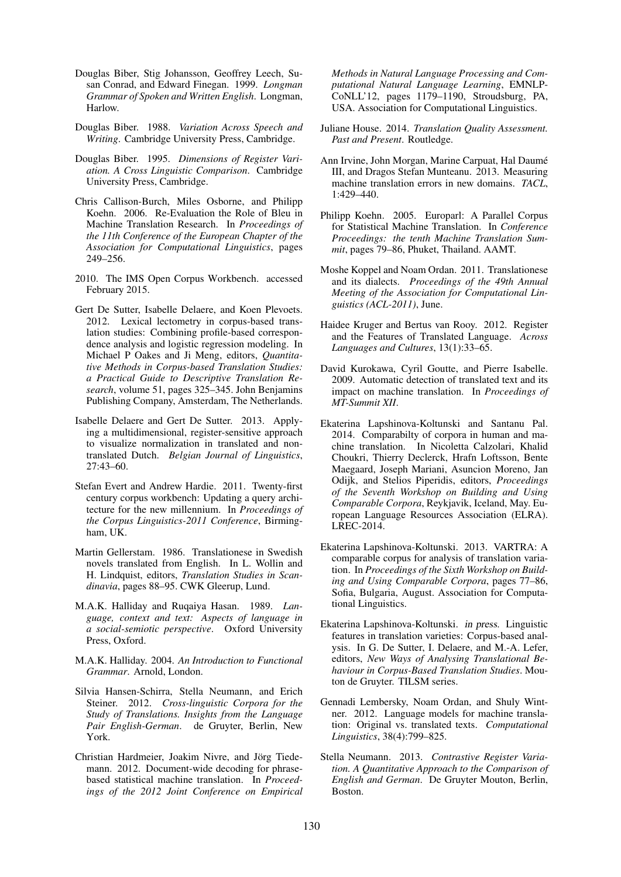- Douglas Biber, Stig Johansson, Geoffrey Leech, Susan Conrad, and Edward Finegan. 1999. *Longman Grammar of Spoken and Written English*. Longman, Harlow.
- Douglas Biber. 1988. *Variation Across Speech and Writing*. Cambridge University Press, Cambridge.
- Douglas Biber. 1995. *Dimensions of Register Variation. A Cross Linguistic Comparison*. Cambridge University Press, Cambridge.
- Chris Callison-Burch, Miles Osborne, and Philipp Koehn. 2006. Re-Evaluation the Role of Bleu in Machine Translation Research. In *Proceedings of the 11th Conference of the European Chapter of the Association for Computational Linguistics*, pages 249–256.
- 2010. The IMS Open Corpus Workbench. accessed February 2015.
- Gert De Sutter, Isabelle Delaere, and Koen Plevoets. 2012. Lexical lectometry in corpus-based translation studies: Combining profile-based correspondence analysis and logistic regression modeling. In Michael P Oakes and Ji Meng, editors, *Quantitative Methods in Corpus-based Translation Studies: a Practical Guide to Descriptive Translation Research*, volume 51, pages 325–345. John Benjamins Publishing Company, Amsterdam, The Netherlands.
- Isabelle Delaere and Gert De Sutter. 2013. Applying a multidimensional, register-sensitive approach to visualize normalization in translated and nontranslated Dutch. *Belgian Journal of Linguistics*, 27:43–60.
- Stefan Evert and Andrew Hardie. 2011. Twenty-first century corpus workbench: Updating a query architecture for the new millennium. In *Proceedings of the Corpus Linguistics-2011 Conference*, Birmingham, UK.
- Martin Gellerstam. 1986. Translationese in Swedish novels translated from English. In L. Wollin and H. Lindquist, editors, *Translation Studies in Scandinavia*, pages 88–95. CWK Gleerup, Lund.
- M.A.K. Halliday and Ruqaiya Hasan. 1989. *Language, context and text: Aspects of language in a social-semiotic perspective*. Oxford University Press, Oxford.
- M.A.K. Halliday. 2004. *An Introduction to Functional Grammar*. Arnold, London.
- Silvia Hansen-Schirra, Stella Neumann, and Erich Steiner. 2012. *Cross-linguistic Corpora for the Study of Translations. Insights from the Language Pair English-German*. de Gruyter, Berlin, New York.
- Christian Hardmeier, Joakim Nivre, and Jörg Tiedemann. 2012. Document-wide decoding for phrasebased statistical machine translation. In *Proceedings of the 2012 Joint Conference on Empirical*

*Methods in Natural Language Processing and Computational Natural Language Learning*, EMNLP-CoNLL'12, pages 1179–1190, Stroudsburg, PA, USA. Association for Computational Linguistics.

- Juliane House. 2014. *Translation Quality Assessment. Past and Present*. Routledge.
- Ann Irvine, John Morgan, Marine Carpuat, Hal Daume´ III, and Dragos Stefan Munteanu. 2013. Measuring machine translation errors in new domains. *TACL*, 1:429–440.
- Philipp Koehn. 2005. Europarl: A Parallel Corpus for Statistical Machine Translation. In *Conference Proceedings: the tenth Machine Translation Summit*, pages 79–86, Phuket, Thailand. AAMT.
- Moshe Koppel and Noam Ordan. 2011. Translationese and its dialects. *Proceedings of the 49th Annual Meeting of the Association for Computational Linguistics (ACL-2011)*, June.
- Haidee Kruger and Bertus van Rooy. 2012. Register and the Features of Translated Language. *Across Languages and Cultures*, 13(1):33–65.
- David Kurokawa, Cyril Goutte, and Pierre Isabelle. 2009. Automatic detection of translated text and its impact on machine translation. In *Proceedings of MT-Summit XII*.
- Ekaterina Lapshinova-Koltunski and Santanu Pal. 2014. Comparabilty of corpora in human and machine translation. In Nicoletta Calzolari, Khalid Choukri, Thierry Declerck, Hrafn Loftsson, Bente Maegaard, Joseph Mariani, Asuncion Moreno, Jan Odijk, and Stelios Piperidis, editors, *Proceedings of the Seventh Workshop on Building and Using Comparable Corpora*, Reykjavik, Iceland, May. European Language Resources Association (ELRA). LREC-2014.
- Ekaterina Lapshinova-Koltunski. 2013. VARTRA: A comparable corpus for analysis of translation variation. In *Proceedings of the Sixth Workshop on Building and Using Comparable Corpora*, pages 77–86, Sofia, Bulgaria, August. Association for Computational Linguistics.
- Ekaterina Lapshinova-Koltunski. in press. Linguistic features in translation varieties: Corpus-based analysis. In G. De Sutter, I. Delaere, and M.-A. Lefer, editors, *New Ways of Analysing Translational Behaviour in Corpus-Based Translation Studies*. Mouton de Gruyter. TILSM series.
- Gennadi Lembersky, Noam Ordan, and Shuly Wintner. 2012. Language models for machine translation: Original vs. translated texts. *Computational Linguistics*, 38(4):799–825.
- Stella Neumann. 2013. *Contrastive Register Variation. A Quantitative Approach to the Comparison of English and German*. De Gruyter Mouton, Berlin, Boston.